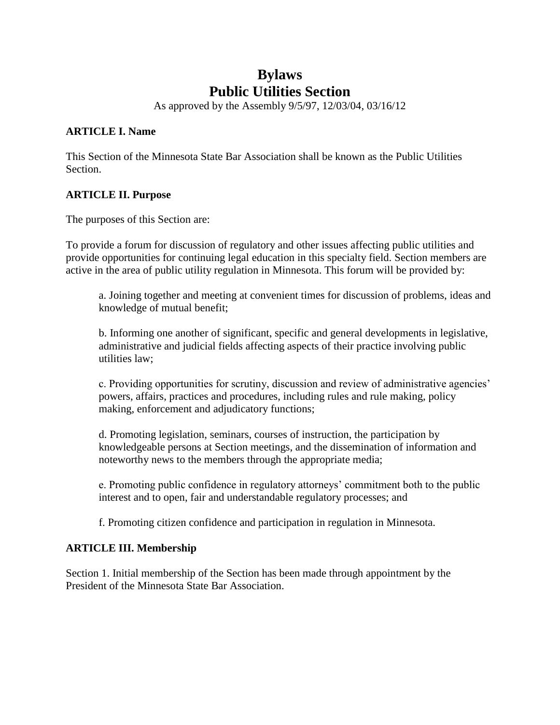# **Bylaws Public Utilities Section**

As approved by the Assembly 9/5/97, 12/03/04, 03/16/12

### **ARTICLE I. Name**

This Section of the Minnesota State Bar Association shall be known as the Public Utilities Section.

### **ARTICLE II. Purpose**

The purposes of this Section are:

To provide a forum for discussion of regulatory and other issues affecting public utilities and provide opportunities for continuing legal education in this specialty field. Section members are active in the area of public utility regulation in Minnesota. This forum will be provided by:

a. Joining together and meeting at convenient times for discussion of problems, ideas and knowledge of mutual benefit;

b. Informing one another of significant, specific and general developments in legislative, administrative and judicial fields affecting aspects of their practice involving public utilities law;

c. Providing opportunities for scrutiny, discussion and review of administrative agencies' powers, affairs, practices and procedures, including rules and rule making, policy making, enforcement and adjudicatory functions;

d. Promoting legislation, seminars, courses of instruction, the participation by knowledgeable persons at Section meetings, and the dissemination of information and noteworthy news to the members through the appropriate media;

e. Promoting public confidence in regulatory attorneys' commitment both to the public interest and to open, fair and understandable regulatory processes; and

f. Promoting citizen confidence and participation in regulation in Minnesota.

## **ARTICLE III. Membership**

Section 1. Initial membership of the Section has been made through appointment by the President of the Minnesota State Bar Association.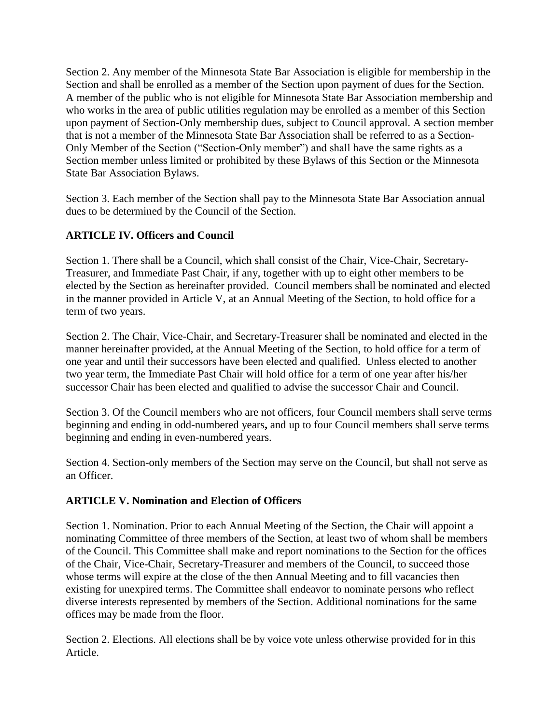Section 2. Any member of the Minnesota State Bar Association is eligible for membership in the Section and shall be enrolled as a member of the Section upon payment of dues for the Section. A member of the public who is not eligible for Minnesota State Bar Association membership and who works in the area of public utilities regulation may be enrolled as a member of this Section upon payment of Section-Only membership dues, subject to Council approval. A section member that is not a member of the Minnesota State Bar Association shall be referred to as a Section-Only Member of the Section ("Section-Only member") and shall have the same rights as a Section member unless limited or prohibited by these Bylaws of this Section or the Minnesota State Bar Association Bylaws.

Section 3. Each member of the Section shall pay to the Minnesota State Bar Association annual dues to be determined by the Council of the Section.

# **ARTICLE IV. Officers and Council**

Section 1. There shall be a Council, which shall consist of the Chair, Vice-Chair, Secretary-Treasurer, and Immediate Past Chair, if any, together with up to eight other members to be elected by the Section as hereinafter provided. Council members shall be nominated and elected in the manner provided in Article V, at an Annual Meeting of the Section, to hold office for a term of two years.

Section 2. The Chair, Vice-Chair, and Secretary-Treasurer shall be nominated and elected in the manner hereinafter provided, at the Annual Meeting of the Section, to hold office for a term of one year and until their successors have been elected and qualified.Unless elected to another two year term, the Immediate Past Chair will hold office for a term of one year after his/her successor Chair has been elected and qualified to advise the successor Chair and Council.

Section 3. Of the Council members who are not officers, four Council members shall serve terms beginning and ending in odd-numbered years**,** and up to four Council members shall serve terms beginning and ending in even-numbered years.

Section 4. Section-only members of the Section may serve on the Council, but shall not serve as an Officer.

# **ARTICLE V. Nomination and Election of Officers**

Section 1. Nomination. Prior to each Annual Meeting of the Section, the Chair will appoint a nominating Committee of three members of the Section, at least two of whom shall be members of the Council. This Committee shall make and report nominations to the Section for the offices of the Chair, Vice-Chair, Secretary-Treasurer and members of the Council, to succeed those whose terms will expire at the close of the then Annual Meeting and to fill vacancies then existing for unexpired terms. The Committee shall endeavor to nominate persons who reflect diverse interests represented by members of the Section. Additional nominations for the same offices may be made from the floor.

Section 2. Elections. All elections shall be by voice vote unless otherwise provided for in this Article.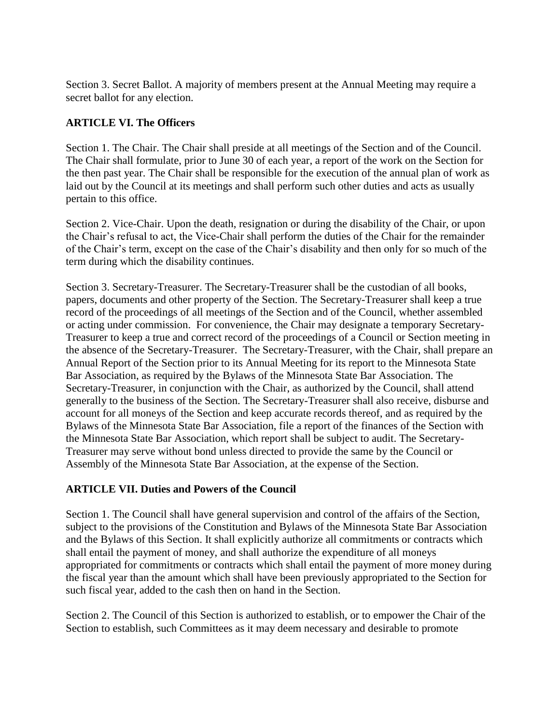Section 3. Secret Ballot. A majority of members present at the Annual Meeting may require a secret ballot for any election.

## **ARTICLE VI. The Officers**

Section 1. The Chair. The Chair shall preside at all meetings of the Section and of the Council. The Chair shall formulate, prior to June 30 of each year, a report of the work on the Section for the then past year. The Chair shall be responsible for the execution of the annual plan of work as laid out by the Council at its meetings and shall perform such other duties and acts as usually pertain to this office.

Section 2. Vice-Chair. Upon the death, resignation or during the disability of the Chair, or upon the Chair's refusal to act, the Vice-Chair shall perform the duties of the Chair for the remainder of the Chair's term, except on the case of the Chair's disability and then only for so much of the term during which the disability continues.

Section 3. Secretary-Treasurer. The Secretary-Treasurer shall be the custodian of all books, papers, documents and other property of the Section. The Secretary-Treasurer shall keep a true record of the proceedings of all meetings of the Section and of the Council, whether assembled or acting under commission.For convenience, the Chair may designate a temporary Secretary-Treasurer to keep a true and correct record of the proceedings of a Council or Section meeting in the absence of the Secretary-Treasurer. The Secretary-Treasurer, with the Chair, shall prepare an Annual Report of the Section prior to its Annual Meeting for its report to the Minnesota State Bar Association, as required by the Bylaws of the Minnesota State Bar Association. The Secretary-Treasurer, in conjunction with the Chair, as authorized by the Council, shall attend generally to the business of the Section. The Secretary-Treasurer shall also receive, disburse and account for all moneys of the Section and keep accurate records thereof, and as required by the Bylaws of the Minnesota State Bar Association, file a report of the finances of the Section with the Minnesota State Bar Association, which report shall be subject to audit. The Secretary-Treasurer may serve without bond unless directed to provide the same by the Council or Assembly of the Minnesota State Bar Association, at the expense of the Section.

## **ARTICLE VII. Duties and Powers of the Council**

Section 1. The Council shall have general supervision and control of the affairs of the Section, subject to the provisions of the Constitution and Bylaws of the Minnesota State Bar Association and the Bylaws of this Section. It shall explicitly authorize all commitments or contracts which shall entail the payment of money, and shall authorize the expenditure of all moneys appropriated for commitments or contracts which shall entail the payment of more money during the fiscal year than the amount which shall have been previously appropriated to the Section for such fiscal year, added to the cash then on hand in the Section.

Section 2. The Council of this Section is authorized to establish, or to empower the Chair of the Section to establish, such Committees as it may deem necessary and desirable to promote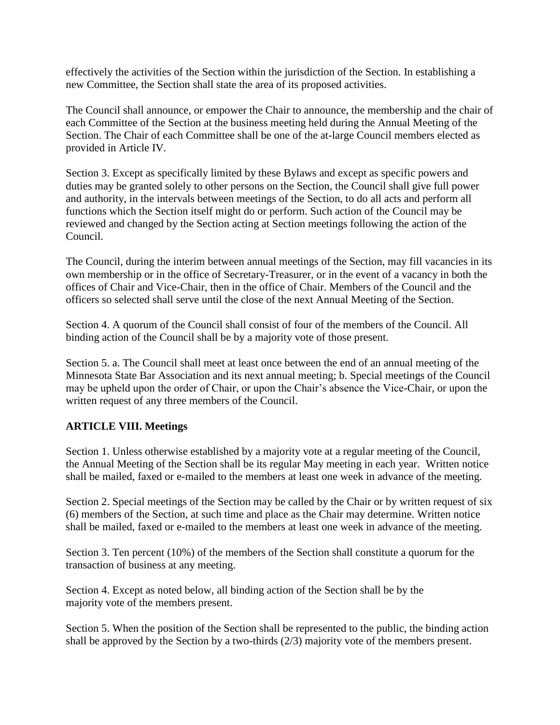effectively the activities of the Section within the jurisdiction of the Section. In establishing a new Committee, the Section shall state the area of its proposed activities.

The Council shall announce, or empower the Chair to announce, the membership and the chair of each Committee of the Section at the business meeting held during the Annual Meeting of the Section. The Chair of each Committee shall be one of the at-large Council members elected as provided in Article IV.

Section 3. Except as specifically limited by these Bylaws and except as specific powers and duties may be granted solely to other persons on the Section, the Council shall give full power and authority, in the intervals between meetings of the Section, to do all acts and perform all functions which the Section itself might do or perform. Such action of the Council may be reviewed and changed by the Section acting at Section meetings following the action of the Council.

The Council, during the interim between annual meetings of the Section, may fill vacancies in its own membership or in the office of Secretary-Treasurer, or in the event of a vacancy in both the offices of Chair and Vice-Chair, then in the office of Chair. Members of the Council and the officers so selected shall serve until the close of the next Annual Meeting of the Section.

Section 4. A quorum of the Council shall consist of four of the members of the Council. All binding action of the Council shall be by a majority vote of those present.

Section 5. a. The Council shall meet at least once between the end of an annual meeting of the Minnesota State Bar Association and its next annual meeting; b. Special meetings of the Council may be upheld upon the order of Chair, or upon the Chair's absence the Vice-Chair, or upon the written request of any three members of the Council.

## **ARTICLE VIII. Meetings**

Section 1. Unless otherwise established by a majority vote at a regular meeting of the Council, the Annual Meeting of the Section shall be its regular May meeting in each year. Written notice shall be mailed, faxed or e-mailed to the members at least one week in advance of the meeting.

Section 2. Special meetings of the Section may be called by the Chair or by written request of six (6) members of the Section, at such time and place as the Chair may determine. Written notice shall be mailed, faxed or e-mailed to the members at least one week in advance of the meeting.

Section 3. Ten percent (10%) of the members of the Section shall constitute a quorum for the transaction of business at any meeting.

Section 4. Except as noted below, all binding action of the Section shall be by the majority vote of the members present.

Section 5. When the position of the Section shall be represented to the public, the binding action shall be approved by the Section by a two-thirds (2/3) majority vote of the members present.